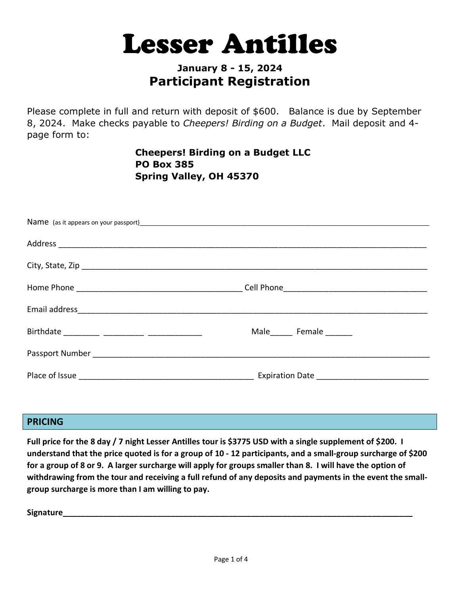# **Lesser Antilles**

## **January 8 - 15, 2024 Participant Registration**

Please complete in full and return with deposit of \$600. Balance is due by September 8, 2024. Make checks payable to *Cheepers! Birding on a Budget*. Mail deposit and 4 page form to:

> **Cheepers! Birding on a Budget LLC PO Box 385 Spring Valley, OH 45370**

| Male Female |
|-------------|
|             |
|             |
|             |

#### **PRICING**

**Full price for the 8 day / 7 night Lesser Antilles tour is \$3775 USD with a single supplement of \$200. I understand that the price quoted is for a group of 10 - 12 participants, and a small-group surcharge of \$200 for a group of 8 or 9. A larger surcharge will apply for groups smaller than 8. I will have the option of withdrawing from the tour and receiving a full refund of any deposits and payments in the event the smallgroup surcharge is more than I am willing to pay.**

**Signature\_\_\_\_\_\_\_\_\_\_\_\_\_\_\_\_\_\_\_\_\_\_\_\_\_\_\_\_\_\_\_\_\_\_\_\_\_\_\_\_\_\_\_\_\_\_\_\_\_\_\_\_\_\_\_\_\_\_\_\_\_\_\_\_\_\_\_\_\_\_\_\_\_\_\_\_\_\_**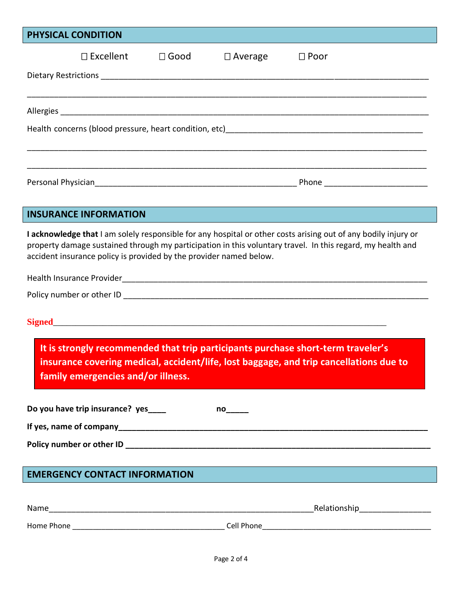| PHYSICAL CONDITION                                                                                                                                                                                                                                                                                 |  |                |                       |                |
|----------------------------------------------------------------------------------------------------------------------------------------------------------------------------------------------------------------------------------------------------------------------------------------------------|--|----------------|-----------------------|----------------|
| $\Box$ Excellent                                                                                                                                                                                                                                                                                   |  | $\square$ Good | $\Box$ Average        | $\square$ Poor |
|                                                                                                                                                                                                                                                                                                    |  |                |                       |                |
|                                                                                                                                                                                                                                                                                                    |  |                |                       |                |
|                                                                                                                                                                                                                                                                                                    |  |                |                       |                |
|                                                                                                                                                                                                                                                                                                    |  |                |                       |                |
|                                                                                                                                                                                                                                                                                                    |  |                |                       |                |
|                                                                                                                                                                                                                                                                                                    |  |                |                       |                |
|                                                                                                                                                                                                                                                                                                    |  |                |                       |                |
|                                                                                                                                                                                                                                                                                                    |  |                |                       |                |
| <b>INSURANCE INFORMATION</b>                                                                                                                                                                                                                                                                       |  |                |                       |                |
| I acknowledge that I am solely responsible for any hospital or other costs arising out of any bodily injury or<br>property damage sustained through my participation in this voluntary travel. In this regard, my health and<br>accident insurance policy is provided by the provider named below. |  |                |                       |                |
|                                                                                                                                                                                                                                                                                                    |  |                |                       |                |
| It is strongly recommended that trip participants purchase short-term traveler's<br>insurance covering medical, accident/life, lost baggage, and trip cancellations due to<br>family emergencies and/or illness.                                                                                   |  |                |                       |                |
| Do you have trip insurance? yes____                                                                                                                                                                                                                                                                |  |                | $no_{\_\_\_\_\_\_\_}$ |                |
|                                                                                                                                                                                                                                                                                                    |  |                |                       |                |
|                                                                                                                                                                                                                                                                                                    |  |                |                       |                |
|                                                                                                                                                                                                                                                                                                    |  |                |                       |                |
| <b>EMERGENCY CONTACT INFORMATION</b>                                                                                                                                                                                                                                                               |  |                |                       |                |
|                                                                                                                                                                                                                                                                                                    |  |                |                       |                |

| Name       | Relationship |
|------------|--------------|
| Home Phone | Cell Phone   |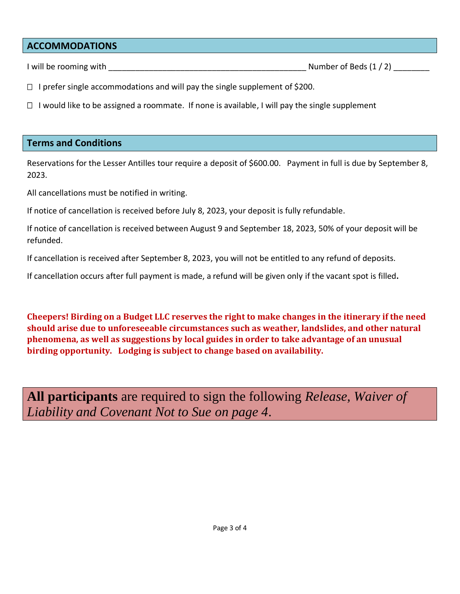#### **ACCOMMODATIONS**

I will be rooming with  $\Box$ 

 $\Box$  I prefer single accommodations and will pay the single supplement of \$200.

 $\Box$  I would like to be assigned a roommate. If none is available, I will pay the single supplement

#### **Terms and Conditions**

Reservations for the Lesser Antilles tour require a deposit of \$600.00. Payment in full is due by September 8, 2023.

All cancellations must be notified in writing.

If notice of cancellation is received before July 8, 2023, your deposit is fully refundable.

If notice of cancellation is received between August 9 and September 18, 2023, 50% of your deposit will be refunded.

If cancellation is received after September 8, 2023, you will not be entitled to any refund of deposits.

If cancellation occurs after full payment is made, a refund will be given only if the vacant spot is filled**.** 

**Cheepers! Birding on a Budget LLC reserves the right to make changes in the itinerary if the need should arise due to unforeseeable circumstances such as weather, landslides, and other natural phenomena, as well as suggestions by local guides in order to take advantage of an unusual birding opportunity. Lodging is subject to change based on availability.**

**All participants** are required to sign the following *Release, Waiver of Liability and Covenant Not to Sue on page 4*.